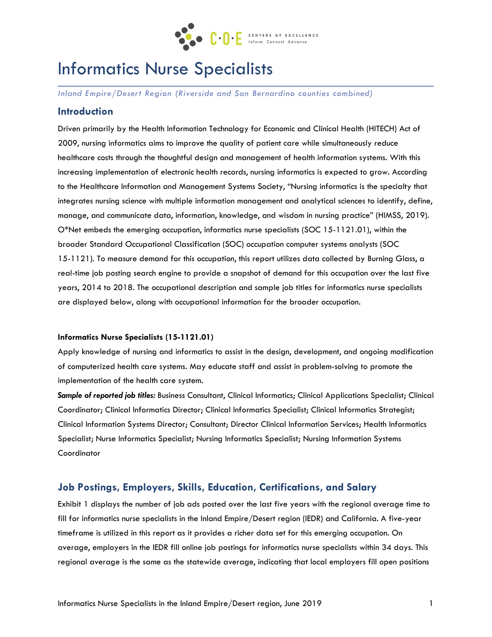

# Informatics Nurse Specialists

*Inland Empire/Desert Region (Riverside and San Bernardino counties combined)*

# **Introduction**

Driven primarily by the Health Information Technology for Economic and Clinical Health (HITECH) Act of 2009, nursing informatics aims to improve the quality of patient care while simultaneously reduce healthcare costs through the thoughtful design and management of health information systems. With this increasing implementation of electronic health records, nursing informatics is expected to grow. According to the Healthcare Information and Management Systems Society, "Nursing informatics is the specialty that integrates nursing science with multiple information management and analytical sciences to identify, define, manage, and communicate data, information, knowledge, and wisdom in nursing practice" (HIMSS, 2019). O\*Net embeds the emerging occupation, informatics nurse specialists (SOC 15-1121.01), within the broader Standard Occupational Classification (SOC) occupation computer systems analysts (SOC 15-1121). To measure demand for this occupation, this report utilizes data collected by Burning Glass, a real-time job posting search engine to provide a snapshot of demand for this occupation over the last five years, 2014 to 2018. The occupational description and sample job titles for informatics nurse specialists are displayed below, along with occupational information for the broader occupation.

#### **Informatics Nurse Specialists (15-1121.01)**

Apply knowledge of nursing and informatics to assist in the design, development, and ongoing modification of computerized health care systems. May educate staff and assist in problem-solving to promote the implementation of the health care system.

*Sample of reported job titles:* Business Consultant, Clinical Informatics; Clinical Applications Specialist; Clinical Coordinator; Clinical Informatics Director; Clinical Informatics Specialist; Clinical Informatics Strategist; Clinical Information Systems Director; Consultant; Director Clinical Information Services; Health Informatics Specialist; Nurse Informatics Specialist; Nursing Informatics Specialist; Nursing Information Systems Coordinator

## **Job Postings, Employers, Skills, Education, Certifications, and Salary**

Exhibit 1 displays the number of job ads posted over the last five years with the regional average time to fill for informatics nurse specialists in the Inland Empire/Desert region (IEDR) and California. A five-year timeframe is utilized in this report as it provides a richer data set for this emerging occupation. On average, employers in the IEDR fill online job postings for informatics nurse specialists within 34 days. This regional average is the same as the statewide average, indicating that local employers fill open positions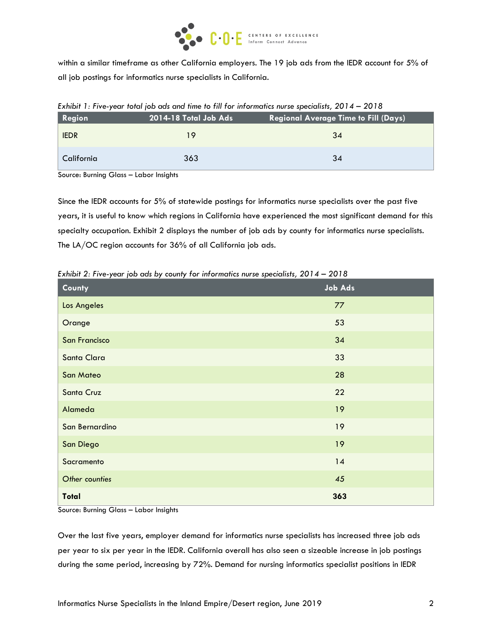

within a similar timeframe as other California employers. The 19 job ads from the IEDR account for 5% of all job postings for informatics nurse specialists in California.

| <b>Region</b> | 2014-18 Total Job Ads<br><b>Regional Average Time to Fill (Days)</b> |    |  |  |
|---------------|----------------------------------------------------------------------|----|--|--|
| <b>IEDR</b>   | 19                                                                   | 34 |  |  |
| California    | 363                                                                  | 34 |  |  |

*Exhibit 1: Five-year total job ads and time to fill for informatics nurse specialists, 2014 – 2018*

Source: Burning Glass – Labor Insights

Since the IEDR accounts for 5% of statewide postings for informatics nurse specialists over the past five years, it is useful to know which regions in California have experienced the most significant demand for this specialty occupation. Exhibit 2 displays the number of job ads by county for informatics nurse specialists. The LA/OC region accounts for 36% of all California job ads.

| County           | <b>Job Ads</b> |
|------------------|----------------|
| Los Angeles      | 77             |
| Orange           | 53             |
| San Francisco    | 34             |
| Santa Clara      | 33             |
| <b>San Mateo</b> | 28             |
| Santa Cruz       | 22             |
| Alameda          | 19             |
| San Bernardino   | 19             |
| <b>San Diego</b> | 19             |
| Sacramento       | 14             |
| Other counties   | 45             |
| <b>Total</b>     | 363            |

*Exhibit 2: Five-year job ads by county for informatics nurse specialists, 2014 – 2018*

Source: Burning Glass – Labor Insights

Over the last five years, employer demand for informatics nurse specialists has increased three job ads per year to six per year in the IEDR. California overall has also seen a sizeable increase in job postings during the same period, increasing by 72%. Demand for nursing informatics specialist positions in IEDR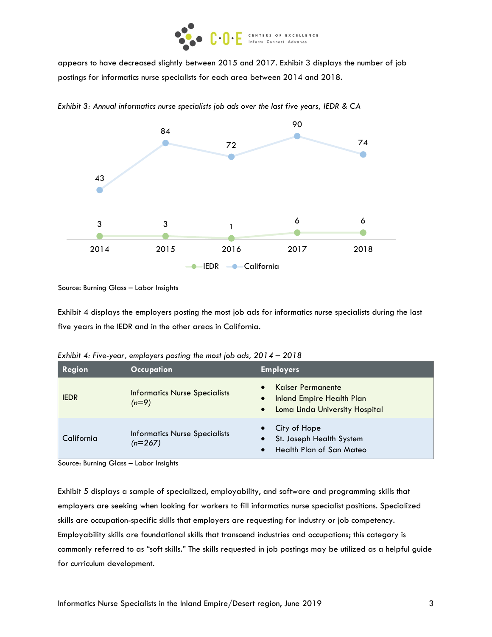

appears to have decreased slightly between 2015 and 2017. Exhibit 3 displays the number of job postings for informatics nurse specialists for each area between 2014 and 2018.



*Exhibit 3: Annual informatics nurse specialists job ads over the last five years, IEDR & CA*

Source: Burning Glass – Labor Insights

Exhibit 4 displays the employers posting the most job ads for informatics nurse specialists during the last five years in the IEDR and in the other areas in California.

| Region      | <b>Occupation</b>                                 | <b>Employers</b>                                                                                                         |
|-------------|---------------------------------------------------|--------------------------------------------------------------------------------------------------------------------------|
| <b>IEDR</b> | <b>Informatics Nurse Specialists</b><br>$(n=9)$   | <b>Kaiser Permanente</b><br><b>Inland Empire Health Plan</b><br>$\bullet$<br>Loma Linda University Hospital<br>$\bullet$ |
| California  | <b>Informatics Nurse Specialists</b><br>$(n=267)$ | City of Hope<br>St. Joseph Health System<br>Health Plan of San Mateo                                                     |

*Exhibit 4: Five-year, employers posting the most job ads, 2014 – 2018*

Source: Burning Glass – Labor Insights

Exhibit 5 displays a sample of specialized, employability, and software and programming skills that employers are seeking when looking for workers to fill informatics nurse specialist positions. Specialized skills are occupation-specific skills that employers are requesting for industry or job competency. Employability skills are foundational skills that transcend industries and occupations; this category is commonly referred to as "soft skills." The skills requested in job postings may be utilized as a helpful guide for curriculum development.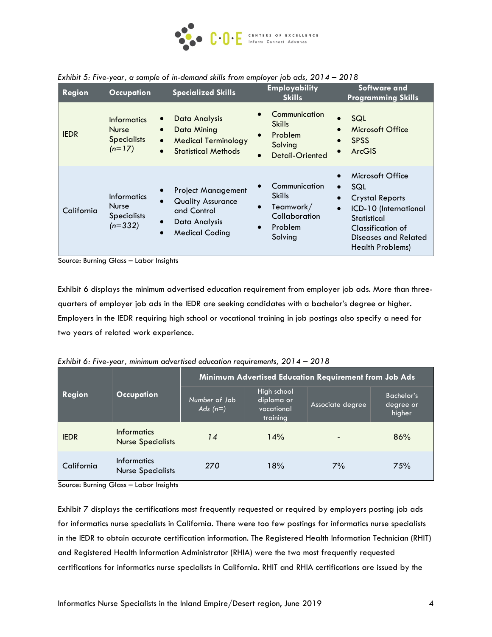

| <b>Region</b><br><b>Occupation</b> |                                                                                                              | <b>Specialized Skills</b>                                                                                      | <b>Employability</b><br><b>Skills</b>                                                                                     | <b>Software and</b><br><b>Programming Skills</b>                                                                                                                                                         |  |  |
|------------------------------------|--------------------------------------------------------------------------------------------------------------|----------------------------------------------------------------------------------------------------------------|---------------------------------------------------------------------------------------------------------------------------|----------------------------------------------------------------------------------------------------------------------------------------------------------------------------------------------------------|--|--|
| <b>IEDR</b>                        | $\bullet$<br><b>Informatics</b><br><b>Nurse</b><br>$\bullet$<br><b>Specialists</b><br>$\bullet$<br>$(n=17)$  | Data Analysis<br>Data Mining<br><b>Medical Terminology</b><br><b>Statistical Methods</b>                       | Communication<br>$\bullet$<br><b>Skills</b><br>Problem<br>$\bullet$<br>Solving<br><b>Detail-Oriented</b><br>$\bullet$     | SQL<br>$\bullet$<br>Microsoft Office<br><b>SPSS</b><br><b>ArcGIS</b>                                                                                                                                     |  |  |
| California                         | <b>Informatics</b><br>$\bullet$<br><b>Nurse</b><br><b>Specialists</b><br>$\bullet$<br>$(n=332)$<br>$\bullet$ | <b>Project Management</b><br><b>Quality Assurance</b><br>and Control<br>Data Analysis<br><b>Medical Coding</b> | Communication<br>$\bullet$<br><b>Skills</b><br>Teamwork/<br>$\bullet$<br>Collaboration<br>Problem<br>$\bullet$<br>Solving | Microsoft Office<br>SQL<br>$\bullet$<br><b>Crystal Reports</b><br>$\bullet$<br>ICD-10 (International<br>$\bullet$<br>Statistical<br>Classification of<br><b>Diseases and Related</b><br>Health Problems) |  |  |

*Exhibit 5: Five-year, a sample of in-demand skills from employer job ads, 2014 – 2018*

Source: Burning Glass – Labor Insights

Exhibit 6 displays the minimum advertised education requirement from employer job ads. More than threequarters of employer job ads in the IEDR are seeking candidates with a bachelor's degree or higher. Employers in the IEDR requiring high school or vocational training in job postings also specify a need for two years of related work experience.

| Exhibit 6: Five-year, minimum advertised education requirements, 2014 – 2018 |  |  |  |  |
|------------------------------------------------------------------------------|--|--|--|--|
|------------------------------------------------------------------------------|--|--|--|--|

| Region      | <b>Occupation</b>                              | Minimum Advertised Education Requirement from Job Ads |                                                     |                  |                                   |  |
|-------------|------------------------------------------------|-------------------------------------------------------|-----------------------------------------------------|------------------|-----------------------------------|--|
|             |                                                | Number of Job<br>Ads $(n=)$                           | High school<br>diploma or<br>vocational<br>training | Associate degree | Bachelor's<br>degree or<br>higher |  |
| <b>IEDR</b> | <b>Informatics</b><br><b>Nurse Specialists</b> | 14                                                    | 14%                                                 |                  | 86%                               |  |
| California  | <b>Informatics</b><br><b>Nurse Specialists</b> | 270                                                   | 18%                                                 | $7\%$            | 75%                               |  |

Source: Burning Glass – Labor Insights

Exhibit 7 displays the certifications most frequently requested or required by employers posting job ads for informatics nurse specialists in California. There were too few postings for informatics nurse specialists in the IEDR to obtain accurate certification information. The Registered Health Information Technician (RHIT) and Registered Health Information Administrator (RHIA) were the two most frequently requested certifications for informatics nurse specialists in California. RHIT and RHIA certifications are issued by the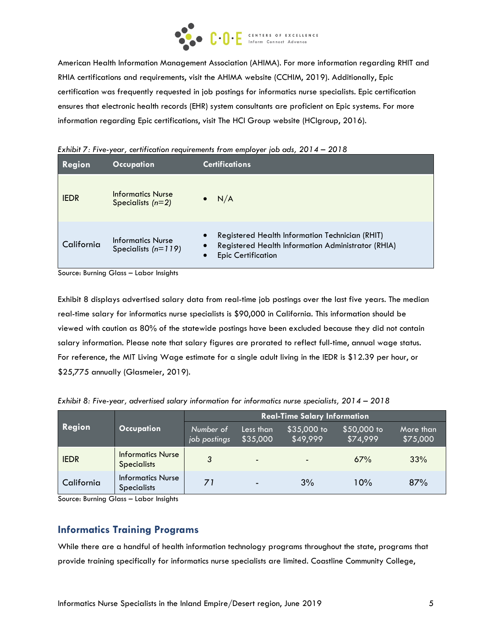

American Health Information Management Association (AHIMA). For more information regarding RHIT and RHIA certifications and requirements, visit the AHIMA website (CCHIM, 2019). Additionally, Epic certification was frequently requested in job postings for informatics nurse specialists. Epic certification ensures that electronic health records (EHR) system consultants are proficient on Epic systems. For more information regarding Epic certifications, visit The HCI Group website (HCIgroup, 2016).

| Region      | Occupation                                        | <b>Certifications</b>                                                                                                                                        |
|-------------|---------------------------------------------------|--------------------------------------------------------------------------------------------------------------------------------------------------------------|
| <b>IEDR</b> | Informatics Nurse<br>Specialists $(n=2)$          | N/A<br>$\bullet$                                                                                                                                             |
| California  | <b>Informatics Nurse</b><br>Specialists $(n=119)$ | Registered Health Information Technician (RHIT)<br>$\bullet$<br>Registered Health Information Administrator (RHIA)<br><b>Epic Certification</b><br>$\bullet$ |

*Exhibit 7: Five-year, certification requirements from employer job ads, 2014 – 2018*

Source: Burning Glass – Labor Insights

Exhibit 8 displays advertised salary data from real-time job postings over the last five years. The median real-time salary for informatics nurse specialists is \$90,000 in California. This information should be viewed with caution as 80% of the statewide postings have been excluded because they did not contain salary information. Please note that salary figures are prorated to reflect full-time, annual wage status. For reference, the MIT Living Wage estimate for a single adult living in the IEDR is \$12.39 per hour, or \$25,775 annually (Glasmeier, 2019).

| Exhibit 8: Five-year, advertised salary information for informatics nurse specialists, 2014 - 2018 |  |  |  |  |  |
|----------------------------------------------------------------------------------------------------|--|--|--|--|--|
|----------------------------------------------------------------------------------------------------|--|--|--|--|--|

|             |                                                | <b>Real-Time Salary Information</b> |                          |                         |                         |                       |  |
|-------------|------------------------------------------------|-------------------------------------|--------------------------|-------------------------|-------------------------|-----------------------|--|
| Region      | <b>Occupation</b>                              | Number of<br>job postings           | Less than<br>\$35,000    | \$35,000 to<br>\$49,999 | \$50,000 to<br>\$74,999 | More than<br>\$75,000 |  |
| <b>IEDR</b> | <b>Informatics Nurse</b><br><b>Specialists</b> | 3                                   | ٠                        |                         | 67%                     | 33%                   |  |
| California  | <b>Informatics Nurse</b><br><b>Specialists</b> | 71                                  | $\overline{\phantom{a}}$ | 3%                      | 10%                     | 87%                   |  |

Source: Burning Glass – Labor Insights

# **Informatics Training Programs**

While there are a handful of health information technology programs throughout the state, programs that provide training specifically for informatics nurse specialists are limited. Coastline Community College,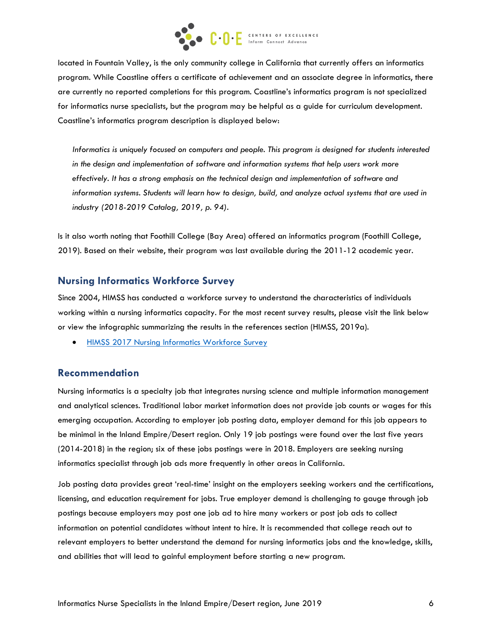

located in Fountain Valley, is the only community college in California that currently offers an informatics program. While Coastline offers a certificate of achievement and an associate degree in informatics, there are currently no reported completions for this program. Coastline's informatics program is not specialized for informatics nurse specialists, but the program may be helpful as a guide for curriculum development. Coastline's informatics program description is displayed below:

*Informatics is uniquely focused on computers and people. This program is designed for students interested*  in the design and implementation of software and information systems that help users work more *effectively. It has a strong emphasis on the technical design and implementation of software and information systems. Students will learn how to design, build, and analyze actual systems that are used in industry (2018-2019 Catalog, 2019, p. 94).*

Is it also worth noting that Foothill College (Bay Area) offered an informatics program (Foothill College, 2019). Based on their website, their program was last available during the 2011-12 academic year.

# **Nursing Informatics Workforce Survey**

Since 2004, HIMSS has conducted a workforce survey to understand the characteristics of individuals working within a nursing informatics capacity. For the most recent survey results, please visit the link below or view the infographic summarizing the results in the references section (HIMSS, 2019a).

• [HIMSS 2017 Nursing Informatics Workforce Survey](https://www.himss.org/sites/himssorg/files/2017-nursing-informatics-workforce-full-report.pdf)

## **Recommendation**

Nursing informatics is a specialty job that integrates nursing science and multiple information management and analytical sciences. Traditional labor market information does not provide job counts or wages for this emerging occupation. According to employer job posting data, employer demand for this job appears to be minimal in the Inland Empire/Desert region. Only 19 job postings were found over the last five years (2014-2018) in the region; six of these jobs postings were in 2018. Employers are seeking nursing informatics specialist through job ads more frequently in other areas in California.

Job posting data provides great 'real-time' insight on the employers seeking workers and the certifications, licensing, and education requirement for jobs. True employer demand is challenging to gauge through job postings because employers may post one job ad to hire many workers or post job ads to collect information on potential candidates without intent to hire. It is recommended that college reach out to relevant employers to better understand the demand for nursing informatics jobs and the knowledge, skills, and abilities that will lead to gainful employment before starting a new program.